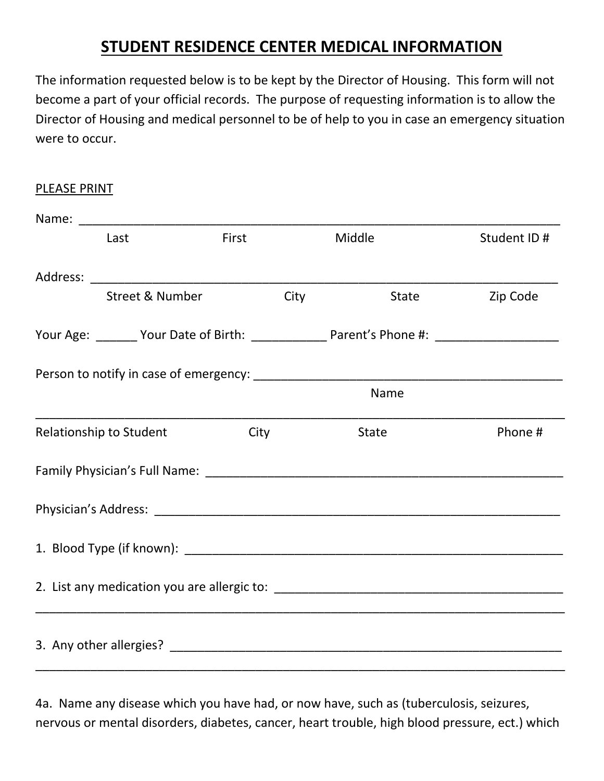## **STUDENT RESIDENCE CENTER MEDICAL INFORMATION**

The information requested below is to be kept by the Director of Housing. This form will not become a part of your official records. The purpose of requesting information is to allow the Director of Housing and medical personnel to be of help to you in case an emergency situation were to occur.

PLEASE PRINT

|  | Last                       | First |      | Middle | Student ID #                                                                                        |
|--|----------------------------|-------|------|--------|-----------------------------------------------------------------------------------------------------|
|  |                            |       |      |        |                                                                                                     |
|  | <b>Street &amp; Number</b> |       | City | State  | Zip Code                                                                                            |
|  |                            |       |      |        | Your Age: _______ Your Date of Birth: _______________ Parent's Phone #: ___________________________ |
|  |                            |       |      |        |                                                                                                     |
|  |                            |       |      | Name   |                                                                                                     |
|  | Relationship to Student    | City  |      | State  | Phone #                                                                                             |
|  |                            |       |      |        |                                                                                                     |
|  |                            |       |      |        |                                                                                                     |
|  |                            |       |      |        |                                                                                                     |
|  |                            |       |      |        |                                                                                                     |
|  |                            |       |      |        |                                                                                                     |

4a. Name any disease which you have had, or now have, such as (tuberculosis, seizures, nervous or mental disorders, diabetes, cancer, heart trouble, high blood pressure, ect.) which